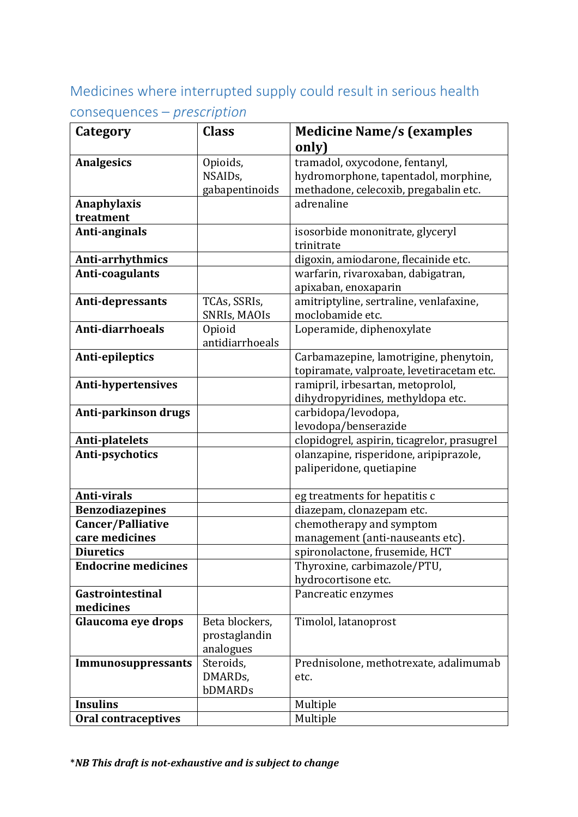# Medicines where interrupted supply could result in serious health

## consequences – *prescription*

| Category                   | <b>Class</b>         | <b>Medicine Name/s (examples</b><br>only)   |
|----------------------------|----------------------|---------------------------------------------|
| <b>Analgesics</b>          | Opioids,             | tramadol, oxycodone, fentanyl,              |
|                            |                      |                                             |
|                            | NSAID <sub>s</sub> , | hydromorphone, tapentadol, morphine,        |
|                            | gabapentinoids       | methadone, celecoxib, pregabalin etc.       |
| Anaphylaxis                |                      | adrenaline                                  |
| treatment                  |                      |                                             |
| Anti-anginals              |                      | isosorbide mononitrate, glyceryl            |
|                            |                      | trinitrate                                  |
| Anti-arrhythmics           |                      | digoxin, amiodarone, flecainide etc.        |
| Anti-coagulants            |                      | warfarin, rivaroxaban, dabigatran,          |
|                            |                      | apixaban, enoxaparin                        |
| Anti-depressants           | TCAs, SSRIs,         | amitriptyline, sertraline, venlafaxine,     |
|                            | SNRIs, MAOIs         | moclobamide etc.                            |
| Anti-diarrhoeals           | Opioid               | Loperamide, diphenoxylate                   |
|                            | antidiarrhoeals      |                                             |
| Anti-epileptics            |                      | Carbamazepine, lamotrigine, phenytoin,      |
|                            |                      | topiramate, valproate, levetiracetam etc.   |
| <b>Anti-hypertensives</b>  |                      | ramipril, irbesartan, metoprolol,           |
|                            |                      | dihydropyridines, methyldopa etc.           |
| Anti-parkinson drugs       |                      | carbidopa/levodopa,                         |
|                            |                      | levodopa/benserazide                        |
| Anti-platelets             |                      | clopidogrel, aspirin, ticagrelor, prasugrel |
| Anti-psychotics            |                      | olanzapine, risperidone, aripiprazole,      |
|                            |                      | paliperidone, quetiapine                    |
|                            |                      |                                             |
| <b>Anti-virals</b>         |                      | eg treatments for hepatitis c               |
| <b>Benzodiazepines</b>     |                      | diazepam, clonazepam etc.                   |
| Cancer/Palliative          |                      | chemotherapy and symptom                    |
| care medicines             |                      | management (anti-nauseants etc).            |
| <b>Diuretics</b>           |                      | spironolactone, frusemide, HCT              |
| <b>Endocrine medicines</b> |                      | Thyroxine, carbimazole/PTU,                 |
|                            |                      | hydrocortisone etc.                         |
|                            |                      |                                             |
| Gastrointestinal           |                      | Pancreatic enzymes                          |
| medicines                  |                      |                                             |
| Glaucoma eye drops         | Beta blockers,       | Timolol, latanoprost                        |
|                            | prostaglandin        |                                             |
|                            | analogues            |                                             |
| Immunosuppressants         | Steroids,            | Prednisolone, methotrexate, adalimumab      |
|                            | DMARDs,              | etc.                                        |
|                            | bDMARDs              |                                             |
| <b>Insulins</b>            |                      | Multiple                                    |
| <b>Oral contraceptives</b> |                      | Multiple                                    |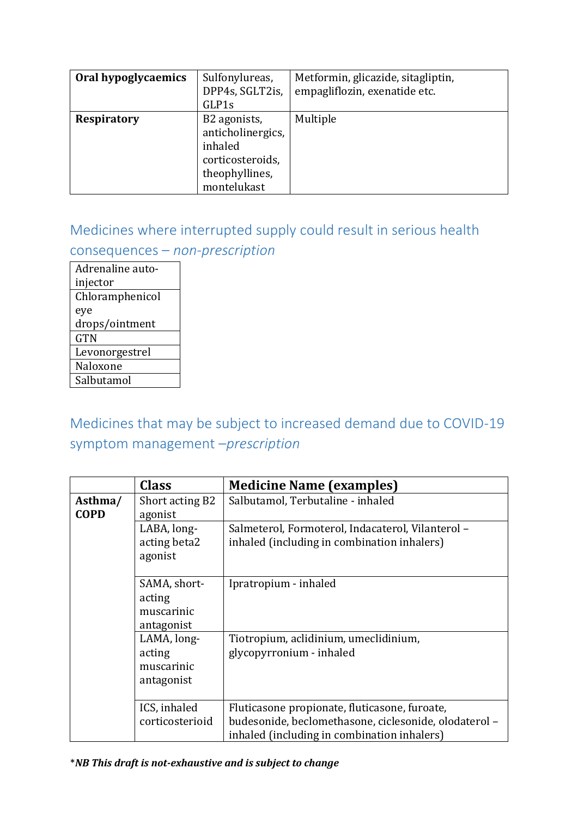| Oral hypoglycaemics | Sulfonylureas,<br>DPP4s, SGLT2is,<br>GLP1s                                                        | Metformin, glicazide, sitagliptin,<br>empagliflozin, exenatide etc. |
|---------------------|---------------------------------------------------------------------------------------------------|---------------------------------------------------------------------|
| <b>Respiratory</b>  | B2 agonists,<br>anticholinergics,<br>inhaled<br>corticosteroids,<br>theophyllines,<br>montelukast | Multiple                                                            |

### Medicines where interrupted supply could result in serious health

#### consequences – *non-prescription*

Adrenaline autoinjector Chloramphenicol eye drops/ointment **GTN** Levonorgestrel Naloxone **Salbutamol** 

## Medicines that may be subject to increased demand due to COVID-19 symptom management –*prescription*

|                        | <b>Class</b>                                       | <b>Medicine Name (examples)</b>                                                                                                                       |
|------------------------|----------------------------------------------------|-------------------------------------------------------------------------------------------------------------------------------------------------------|
| Asthma/<br><b>COPD</b> | Short acting B2<br>agonist                         | Salbutamol, Terbutaline - inhaled                                                                                                                     |
|                        | LABA, long-<br>acting beta2<br>agonist             | Salmeterol, Formoterol, Indacaterol, Vilanterol -<br>inhaled (including in combination inhalers)                                                      |
|                        | SAMA, short-<br>acting<br>muscarinic<br>antagonist | Ipratropium - inhaled                                                                                                                                 |
|                        | LAMA, long-<br>acting<br>muscarinic<br>antagonist  | Tiotropium, aclidinium, umeclidinium,<br>glycopyrronium - inhaled                                                                                     |
|                        | ICS, inhaled<br>corticosterioid                    | Fluticasone propionate, fluticasone, furoate,<br>budesonide, beclomethasone, ciclesonide, olodaterol -<br>inhaled (including in combination inhalers) |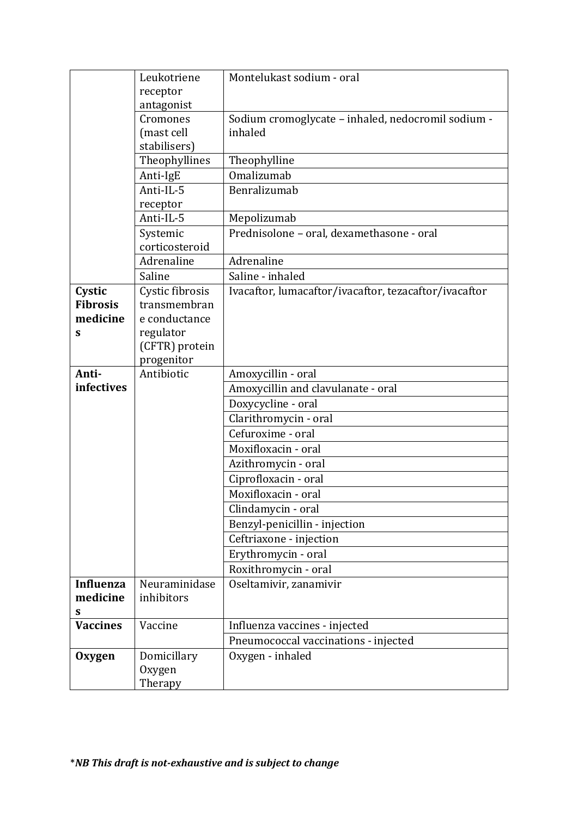|                  | Leukotriene     | Montelukast sodium - oral                             |
|------------------|-----------------|-------------------------------------------------------|
|                  | receptor        |                                                       |
|                  | antagonist      |                                                       |
|                  | Cromones        | Sodium cromoglycate - inhaled, nedocromil sodium -    |
|                  | (mast cell      | inhaled                                               |
|                  | stabilisers)    |                                                       |
|                  | Theophyllines   | Theophylline                                          |
|                  | Anti-IgE        | Omalizumab                                            |
|                  | Anti-IL-5       | Benralizumab                                          |
|                  | receptor        |                                                       |
|                  | Anti-IL-5       | Mepolizumab                                           |
|                  | Systemic        | Prednisolone - oral, dexamethasone - oral             |
|                  | corticosteroid  |                                                       |
|                  | Adrenaline      | Adrenaline                                            |
|                  | Saline          | Saline - inhaled                                      |
| Cystic           | Cystic fibrosis | Ivacaftor, lumacaftor/ivacaftor, tezacaftor/ivacaftor |
| <b>Fibrosis</b>  | transmembran    |                                                       |
| medicine         | e conductance   |                                                       |
| S                | regulator       |                                                       |
|                  | (CFTR) protein  |                                                       |
|                  | progenitor      |                                                       |
| Anti-            | Antibiotic      | Amoxycillin - oral                                    |
| infectives       |                 | Amoxycillin and clavulanate - oral                    |
|                  |                 | Doxycycline - oral                                    |
|                  |                 | Clarithromycin - oral                                 |
|                  |                 | Cefuroxime - oral                                     |
|                  |                 | Moxifloxacin - oral                                   |
|                  |                 | Azithromycin - oral                                   |
|                  |                 | Ciprofloxacin - oral                                  |
|                  |                 | Moxifloxacin - oral                                   |
|                  |                 | Clindamycin - oral                                    |
|                  |                 | Benzyl-penicillin - injection                         |
|                  |                 | Ceftriaxone - injection                               |
|                  |                 | Erythromycin - oral                                   |
|                  |                 | Roxithromycin - oral                                  |
| <b>Influenza</b> | Neuraminidase   | Oseltamivir, zanamivir                                |
| medicine         | inhibitors      |                                                       |
| S                |                 |                                                       |
| <b>Vaccines</b>  | Vaccine         | Influenza vaccines - injected                         |
|                  |                 | Pneumococcal vaccinations - injected                  |
| Oxygen           | Domicillary     | Oxygen - inhaled                                      |
|                  | Oxygen          |                                                       |
|                  | Therapy         |                                                       |